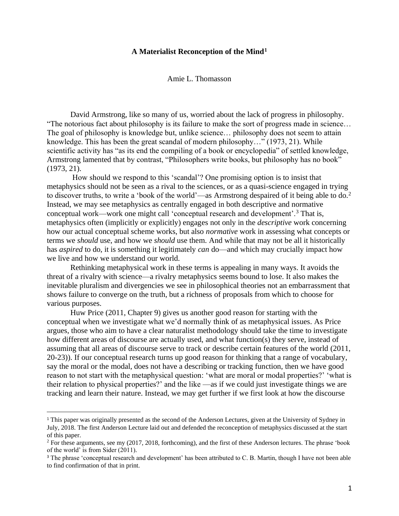# **A Materialist Reconception of the Mind<sup>1</sup>**

Amie L. Thomasson

David Armstrong, like so many of us, worried about the lack of progress in philosophy. "The notorious fact about philosophy is its failure to make the sort of progress made in science… The goal of philosophy is knowledge but, unlike science… philosophy does not seem to attain knowledge. This has been the great scandal of modern philosophy…" (1973, 21). While scientific activity has "as its end the compiling of a book or encyclopedia" of settled knowledge, Armstrong lamented that by contrast, "Philosophers write books, but philosophy has no book" (1973, 21).

How should we respond to this 'scandal'? One promising option is to insist that metaphysics should not be seen as a rival to the sciences, or as a quasi-science engaged in trying to discover truths, to write a 'book of the world'—as Armstrong despaired of it being able to do.<sup>2</sup> Instead, we may see metaphysics as centrally engaged in both descriptive and normative conceptual work—work one might call 'conceptual research and development'.<sup>3</sup> That is, metaphysics often (implicitly or explicitly) engages not only in the *descriptive* work concerning how our actual conceptual scheme works, but also *normative* work in assessing what concepts or terms we *should* use, and how we *should* use them. And while that may not be all it historically has *aspired* to do, it is something it legitimately *can* do—and which may crucially impact how we live and how we understand our world.

Rethinking metaphysical work in these terms is appealing in many ways. It avoids the threat of a rivalry with science—a rivalry metaphysics seems bound to lose. It also makes the inevitable pluralism and divergencies we see in philosophical theories not an embarrassment that shows failure to converge on the truth, but a richness of proposals from which to choose for various purposes.

Huw Price (2011, Chapter 9) gives us another good reason for starting with the conceptual when we investigate what we'd normally think of as metaphysical issues. As Price argues, those who aim to have a clear naturalist methodology should take the time to investigate how different areas of discourse are actually used, and what function(s) they serve, instead of assuming that all areas of discourse serve to track or describe certain features of the world (2011, 20-23)). If our conceptual research turns up good reason for thinking that a range of vocabulary, say the moral or the modal, does not have a describing or tracking function, then we have good reason to not start with the metaphysical question: 'what are moral or modal properties?' 'what is their relation to physical properties?' and the like —as if we could just investigate things we are tracking and learn their nature. Instead, we may get further if we first look at how the discourse

<sup>1</sup> This paper was originally presented as the second of the Anderson Lectures, given at the University of Sydney in July, 2018. The first Anderson Lecture laid out and defended the reconception of metaphysics discussed at the start of this paper.

 $2$  For these arguments, see my (2017, 2018, forthcoming), and the first of these Anderson lectures. The phrase 'book of the world' is from Sider (2011).

<sup>&</sup>lt;sup>3</sup> The phrase 'conceptual research and development' has been attributed to C. B. Martin, though I have not been able to find confirmation of that in print.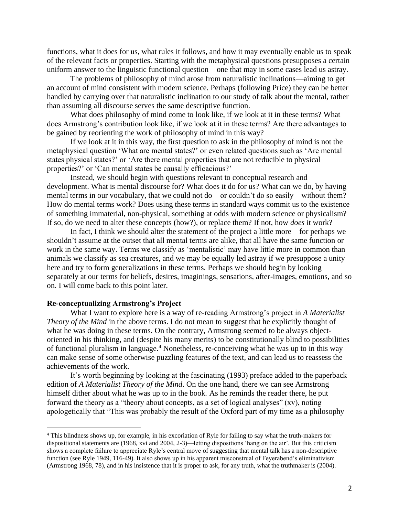functions, what it does for us, what rules it follows, and how it may eventually enable us to speak of the relevant facts or properties. Starting with the metaphysical questions presupposes a certain uniform answer to the linguistic functional question—one that may in some cases lead us astray.

The problems of philosophy of mind arose from naturalistic inclinations—aiming to get an account of mind consistent with modern science. Perhaps (following Price) they can be better handled by carrying over that naturalistic inclination to our study of talk about the mental, rather than assuming all discourse serves the same descriptive function.

What does philosophy of mind come to look like, if we look at it in these terms? What does Armstrong's contribution look like, if we look at it in these terms? Are there advantages to be gained by reorienting the work of philosophy of mind in this way?

If we look at it in this way, the first question to ask in the philosophy of mind is not the metaphysical question 'What are mental states?' or even related questions such as 'Are mental states physical states?' or 'Are there mental properties that are not reducible to physical properties?' or 'Can mental states be causally efficacious?'

Instead, we should begin with questions relevant to conceptual research and development. What is mental discourse for? What does it do for us? What can we do, by having mental terms in our vocabulary, that we could not do—or couldn't do so easily—without them? How do mental terms work? Does using these terms in standard ways commit us to the existence of something immaterial, non-physical, something at odds with modern science or physicalism? If so, do we need to alter these concepts (how?), or replace them? If not, how *does* it work?

In fact, I think we should alter the statement of the project a little more—for perhaps we shouldn't assume at the outset that all mental terms are alike, that all have the same function or work in the same way. Terms we classify as 'mentalistic' may have little more in common than animals we classify as sea creatures, and we may be equally led astray if we presuppose a unity here and try to form generalizations in these terms. Perhaps we should begin by looking separately at our terms for beliefs, desires, imaginings, sensations, after-images, emotions, and so on. I will come back to this point later.

## **Re-conceptualizing Armstrong's Project**

What I want to explore here is a way of re-reading Armstrong's project in *A Materialist Theory of the Mind* in the above terms. I do not mean to suggest that he explicitly thought of what he was doing in these terms. On the contrary, Armstrong seemed to be always objectoriented in his thinking, and (despite his many merits) to be constitutionally blind to possibilities of functional pluralism in language. <sup>4</sup> Nonetheless, re-conceiving what he was up to in this way can make sense of some otherwise puzzling features of the text, and can lead us to reassess the achievements of the work.

It's worth beginning by looking at the fascinating (1993) preface added to the paperback edition of *A Materialist Theory of the Mind*. On the one hand, there we can see Armstrong himself dither about what he was up to in the book*.* As he reminds the reader there, he put forward the theory as a "theory about concepts, as a set of logical analyses" (xv), noting apologetically that "This was probably the result of the Oxford part of my time as a philosophy

<sup>4</sup> This blindness shows up, for example, in his excoriation of Ryle for failing to say what the truth-makers for dispositional statements are (1968, xvi and 2004, 2-3)—letting dispositions 'hang on the air'. But this criticism shows a complete failure to appreciate Ryle's central move of suggesting that mental talk has a non-descriptive function (see Ryle 1949, 116-49). It also shows up in his apparent misconstrual of Feyerabend's eliminativism (Armstrong 1968, 78), and in his insistence that it is proper to ask, for any truth, what the truthmaker is (2004).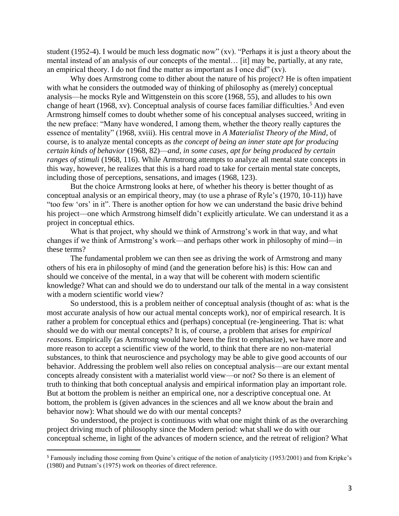student (1952-4). I would be much less dogmatic now" (xv). "Perhaps it is just a theory about the mental instead of an analysis of our concepts of the mental… [it] may be, partially, at any rate, an empirical theory. I do not find the matter as important as I once did"  $(xv)$ .

Why does Armstrong come to dither about the nature of his project? He is often impatient with what he considers the outmoded way of thinking of philosophy as (merely) conceptual analysis—he mocks Ryle and Wittgenstein on this score (1968, 55), and alludes to his own change of heart (1968, xv). Conceptual analysis of course faces familiar difficulties.<sup>5</sup> And even Armstrong himself comes to doubt whether some of his conceptual analyses succeed, writing in the new preface: "Many have wondered, I among them, whether the theory really captures the essence of mentality" (1968, xviii). His central move in *A Materialist Theory of the Mind*, of course, is to analyze mental concepts as *the concept of being an inner state apt for producing certain kinds of behavior* (1968, 82)—*and, in some cases, apt for being produced by certain ranges of stimuli* (1968, 116). While Armstrong attempts to analyze all mental state concepts in this way, however, he realizes that this is a hard road to take for certain mental state concepts, including those of perceptions, sensations, and images (1968, 123).

But the choice Armstrong looks at here, of whether his theory is better thought of as conceptual analysis or an empirical theory, may (to use a phrase of Ryle's (1970, 10-11)) have "too few 'ors' in it". There is another option for how we can understand the basic drive behind his project—one which Armstrong himself didn't explicitly articulate. We can understand it as a project in conceptual ethics.

What is that project, why should we think of Armstrong's work in that way, and what changes if we think of Armstrong's work—and perhaps other work in philosophy of mind—in these terms?

The fundamental problem we can then see as driving the work of Armstrong and many others of his era in philosophy of mind (and the generation before his) is this: How can and should we conceive of the mental, in a way that will be coherent with modern scientific knowledge? What can and should we do to understand our talk of the mental in a way consistent with a modern scientific world view?

So understood, this is a problem neither of conceptual analysis (thought of as: what is the most accurate analysis of how our actual mental concepts work), nor of empirical research. It is rather a problem for conceptual ethics and (perhaps) conceptual (re-)engineering. That is: what should we do with our mental concepts? It is, of course, a problem that arises for *empirical reasons*. Empirically (as Armstrong would have been the first to emphasize), we have more and more reason to accept a scientific view of the world, to think that there are no non-material substances, to think that neuroscience and psychology may be able to give good accounts of our behavior. Addressing the problem well also relies on conceptual analysis—are our extant mental concepts already consistent with a materialist world view—or not? So there is an element of truth to thinking that both conceptual analysis and empirical information play an important role. But at bottom the problem is neither an empirical one, nor a descriptive conceptual one. At bottom, the problem is (given advances in the sciences and all we know about the brain and behavior now): What should we do with our mental concepts?

So understood, the project is continuous with what one might think of as the overarching project driving much of philosophy since the Modern period: what shall we do with our conceptual scheme, in light of the advances of modern science, and the retreat of religion? What

<sup>5</sup> Famously including those coming from Quine's critique of the notion of analyticity (1953/2001) and from Kripke's (1980) and Putnam's (1975) work on theories of direct reference.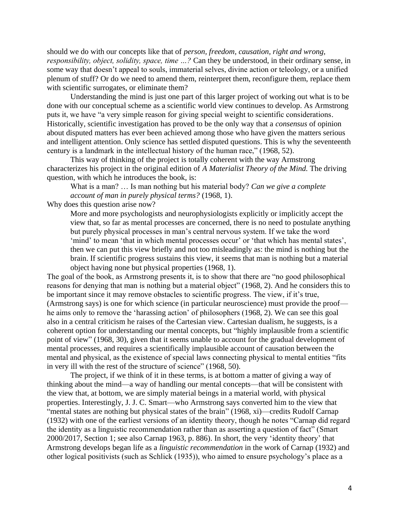should we do with our concepts like that of *person, freedom, causation, right and wrong, responsibility, object, solidity, space, time …?* Can they be understood, in their ordinary sense, in some way that doesn't appeal to souls, immaterial selves, divine action or teleology, or a unified plenum of stuff? Or do we need to amend them, reinterpret them, reconfigure them, replace them with scientific surrogates, or eliminate them?

Understanding the mind is just one part of this larger project of working out what is to be done with our conceptual scheme as a scientific world view continues to develop. As Armstrong puts it, we have "a very simple reason for giving special weight to scientific considerations. Historically, scientific investigation has proved to be the only way that a *consensus* of opinion about disputed matters has ever been achieved among those who have given the matters serious and intelligent attention. Only science has settled disputed questions. This is why the seventeenth century is a landmark in the intellectual history of the human race," (1968, 52).

This way of thinking of the project is totally coherent with the way Armstrong characterizes his project in the original edition of *A Materialist Theory of the Mind.* The driving question, with which he introduces the book, is:

What is a man? … Is man nothing but his material body? *Can we give a complete account of man in purely physical terms?* (1968, 1).

Why does this question arise now?

More and more psychologists and neurophysiologists explicitly or implicitly accept the view that, so far as mental processes are concerned, there is no need to postulate anything but purely physical processes in man's central nervous system. If we take the word 'mind' to mean 'that in which mental processes occur' or 'that which has mental states', then we can put this view briefly and not too misleadingly as: the mind is nothing but the brain. If scientific progress sustains this view, it seems that man is nothing but a material object having none but physical properties (1968, 1).

The goal of the book, as Armstrong presents it, is to show that there are "no good philosophical reasons for denying that man is nothing but a material object" (1968, 2). And he considers this to be important since it may remove obstacles to scientific progress. The view, if it's true, (Armstrong says) is one for which science (in particular neuroscience) must provide the proof he aims only to remove the 'harassing action' of philosophers (1968, 2). We can see this goal also in a central criticism he raises of the Cartesian view. Cartesian dualism, he suggests, is a coherent option for understanding our mental concepts, but "highly implausible from a scientific point of view" (1968, 30), given that it seems unable to account for the gradual development of mental processes, and requires a scientifically implausible account of causation between the mental and physical, as the existence of special laws connecting physical to mental entities "fits in very ill with the rest of the structure of science" (1968, 50).

The project, if we think of it in these terms, is at bottom a matter of giving a way of thinking about the mind—a way of handling our mental concepts—that will be consistent with the view that, at bottom, we are simply material beings in a material world, with physical properties. Interestingly, J. J. C. Smart—who Armstrong says converted him to the view that "mental states are nothing but physical states of the brain" (1968, xi)—credits Rudolf Carnap (1932) with one of the earliest versions of an identity theory, though he notes "Carnap did regard the identity as a linguistic recommendation rather than as asserting a question of fact" (Smart 2000/2017, Section 1; see also Carnap 1963, p. 886). In short, the very 'identity theory' that Armstrong develops began life as a *linguistic recommendation* in the work of Carnap (1932) and other logical positivists (such as Schlick (1935)), who aimed to ensure psychology's place as a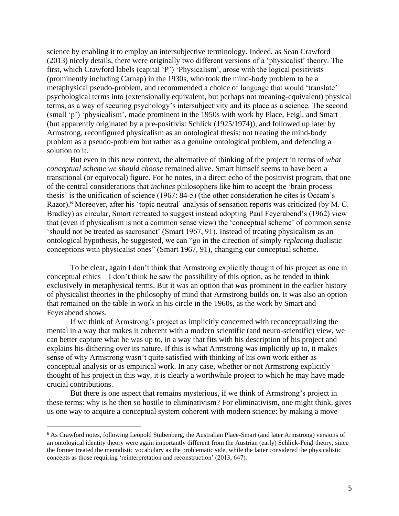science by enabling it to employ an intersubjective terminology. Indeed, as Sean Crawford (2013) nicely details, there were originally two different versions of a 'physicalist' theory. The first, which Crawford labels (capital 'P') 'Physicalism', arose with the logical positivists (prominently including Carnap) in the 1930s, who took the mind-body problem to be a metaphysical pseudo-problem, and recommended a choice of language that would 'translate' psychological terms into (extensionally equivalent, but perhaps not meaning-equivalent) physical terms, as a way of securing psychology's intersubjectivity and its place as a science. The second (small 'p') 'physicalism', made prominent in the 1950s with work by Place, Feigl, and Smart (but apparently originated by a pre-positivist Schlick (1925/1974)), and followed up later by Armstrong, reconfigured physicalism as an ontological thesis: not treating the mind-body problem as a pseudo-problem but rather as a genuine ontological problem, and defending a solution to it.

But even in this new context, the alternative of thinking of the project in terms of *what conceptual scheme we should choose* remained alive. Smart himself seems to have been a transitional (or equivocal) figure. For he notes, in a direct echo of the positivist program, that one of the central considerations that *inclines* philosophers like him to accept the 'brain process thesis' is the unification of science (1967: 84-5) (the other consideration he cites is Occam's Razor).<sup>6</sup> Moreover, after his 'topic neutral' analysis of sensation reports was criticized (by M. C. Bradley) as circular, Smart retreated to suggest instead adopting Paul Feyerabend's (1962) view that (even if physicalism is not a common sense view) the 'conceptual scheme' of common sense 'should not be treated as sacrosanct' (Smart 1967, 91). Instead of treating physicalism as an ontological hypothesis, he suggested, we can "go in the direction of simply *replacing* dualistic conceptions with physicalist ones" (Smart 1967, 91), changing our conceptual scheme.

To be clear, again I don't think that Armstrong explicitly thought of his project as one in conceptual ethics—I don't think he saw the possibility of this option, as he tended to think exclusively in metaphysical terms. But it was an option that *was* prominent in the earlier history of physicalist theories in the philosophy of mind that Armstrong builds on. It was also an option that remained on the table in work in his circle in the 1960s, as the work by Smart and Feyerabend shows.

If we think of Armstrong's project as implicitly concerned with reconceptualizing the mental in a way that makes it coherent with a modern scientific (and neuro-scientific) view, we can better capture what he was up to, in a way that fits with his description of his project and explains his dithering over its nature. If this is what Armstrong was implicitly up to, it makes sense of why Armstrong wasn't quite satisfied with thinking of his own work either as conceptual analysis or as empirical work. In any case, whether or not Armstrong explicitly thought of his project in this way, it is clearly a worthwhile project to which he may have made crucial contributions.

But there is one aspect that remains mysterious, if we think of Armstrong's project in these terms: why is he then so hostile to eliminativism? For eliminativism, one might think, gives us one way to acquire a conceptual system coherent with modern science: by making a move

<sup>6</sup> As Crawford notes, following Leopold Stubenberg, the Australian Place-Smart (and later Armstrong) versions of an ontological identity theory were again importantly different from the Austrian (early) Schlick-Feigl theory, since the former treated the mentalistic vocabulary as the problematic side, while the latter considered the physicalistic concepts as those requiring 'reinterpretation and reconstruction' (2013, 647).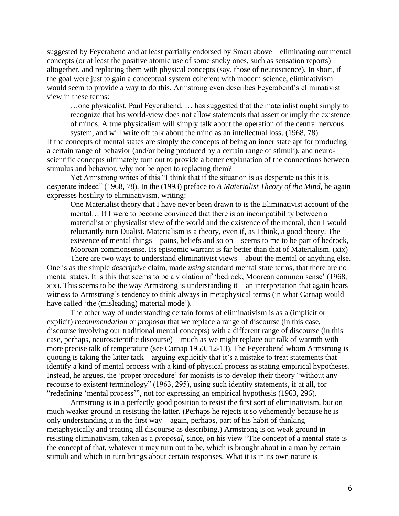suggested by Feyerabend and at least partially endorsed by Smart above—eliminating our mental concepts (or at least the positive atomic use of some sticky ones, such as sensation reports) altogether, and replacing them with physical concepts (say, those of neuroscience). In short, if the goal were just to gain a conceptual system coherent with modern science, eliminativism would seem to provide a way to do this. Armstrong even describes Feyerabend's eliminativist view in these terms:

…one physicalist, Paul Feyerabend, … has suggested that the materialist ought simply to recognize that his world-view does not allow statements that assert or imply the existence of minds. A true physicalism will simply talk about the operation of the central nervous system, and will write off talk about the mind as an intellectual loss. (1968, 78)

If the concepts of mental states are simply the concepts of being an inner state apt for producing a certain range of behavior (and/or being produced by a certain range of stimuli), and neuroscientific concepts ultimately turn out to provide a better explanation of the connections between stimulus and behavior, why not be open to replacing them?

Yet Armstrong writes of this "I think that if the situation is as desperate as this it is desperate indeed" (1968, 78). In the (1993) preface to *A Materialist Theory of the Mind,* he again expresses hostility to eliminativism, writing:

One Materialist theory that I have never been drawn to is the Eliminativist account of the mental… If I were to become convinced that there is an incompatibility between a materialist or physicalist view of the world and the existence of the mental, then I would reluctantly turn Dualist. Materialism is a theory, even if, as I think, a good theory. The existence of mental things—pains, beliefs and so on—seems to me to be part of bedrock, Moorean commonsense. Its epistemic warrant is far better than that of Materialism. (xix)

There are two ways to understand eliminativist views—about the mental or anything else. One is as the simple *descriptive* claim, made *using* standard mental state terms, that there are no mental states. It is this that seems to be a violation of 'bedrock, Moorean common sense' (1968, xix). This seems to be the way Armstrong is understanding it—an interpretation that again bears witness to Armstrong's tendency to think always in metaphysical terms (in what Carnap would have called 'the (misleading) material mode').

The other way of understanding certain forms of eliminativism is as a (implicit or explicit) *recommendation* or *proposal* that we replace a range of discourse (in this case, discourse involving our traditional mental concepts) with a different range of discourse (in this case, perhaps, neuroscientific discourse)—much as we might replace our talk of warmth with more precise talk of temperature (see Carnap 1950, 12-13). The Feyerabend whom Armstrong is quoting is taking the latter tack—arguing explicitly that it's a mistake to treat statements that identify a kind of mental process with a kind of physical process as stating empirical hypotheses. Instead, he argues, the 'proper procedure' for monists is to develop their theory "without any recourse to existent terminology" (1963, 295), using such identity statements, if at all, for "redefining 'mental process'", not for expressing an empirical hypothesis (1963, 296).

Armstrong is in a perfectly good position to resist the first sort of eliminativism, but on much weaker ground in resisting the latter. (Perhaps he rejects it so vehemently because he is only understanding it in the first way—again, perhaps, part of his habit of thinking metaphysically and treating all discourse as describing.) Armstrong is on weak ground in resisting eliminativism, taken as a *proposal,* since, on his view "The concept of a mental state is the concept of that, whatever it may turn out to be, which is brought about in a man by certain stimuli and which in turn brings about certain responses. What it is in its own nature is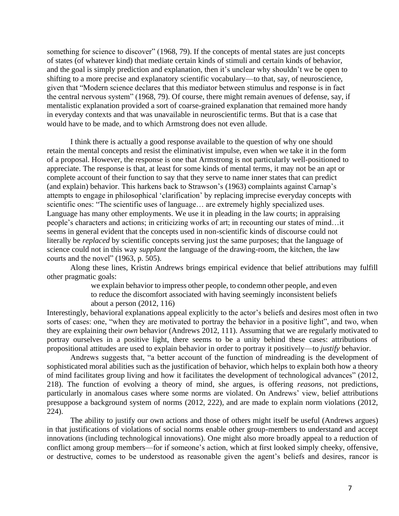something for science to discover" (1968, 79). If the concepts of mental states are just concepts of states (of whatever kind) that mediate certain kinds of stimuli and certain kinds of behavior, and the goal is simply prediction and explanation, then it's unclear why shouldn't we be open to shifting to a more precise and explanatory scientific vocabulary—to that, say, of neuroscience, given that "Modern science declares that this mediator between stimulus and response is in fact the central nervous system" (1968, 79). Of course, there might remain avenues of defense, say, if mentalistic explanation provided a sort of coarse-grained explanation that remained more handy in everyday contexts and that was unavailable in neuroscientific terms. But that is a case that would have to be made, and to which Armstrong does not even allude.

I think there is actually a good response available to the question of why one should retain the mental concepts and resist the eliminativist impulse, even when we take it in the form of a proposal. However, the response is one that Armstrong is not particularly well-positioned to appreciate. The response is that, at least for some kinds of mental terms, it may not be an apt or complete account of their function to say that they serve to name inner states that can predict (and explain) behavior. This harkens back to Strawson's (1963) complaints against Carnap's attempts to engage in philosophical 'clarification' by replacing imprecise everyday concepts with scientific ones: "The scientific uses of language… are extremely highly specialized uses. Language has many other employments. We use it in pleading in the law courts; in appraising people's characters and actions; in criticizing works of art; in recounting our states of mind…it seems in general evident that the concepts used in non-scientific kinds of discourse could not literally be *replaced* by scientific concepts serving just the same purposes; that the language of science could not in this way *supplant* the language of the drawing-room, the kitchen, the law courts and the novel" (1963, p. 505).

Along these lines, Kristin Andrews brings empirical evidence that belief attributions may fulfill other pragmatic goals:

> we explain behavior to impress other people, to condemn other people, and even to reduce the discomfort associated with having seemingly inconsistent beliefs about a person (2012, 116)

Interestingly, behavioral explanations appeal explicitly to the actor's beliefs and desires most often in two sorts of cases: one, "when they are motivated to portray the behavior in a positive light", and two, when they are explaining their *own* behavior (Andrews 2012, 111). Assuming that we are regularly motivated to portray ourselves in a positive light, there seems to be a unity behind these cases: attributions of propositional attitudes are used to explain behavior in order to portray it positively—to *justify* behavior.

Andrews suggests that, "a better account of the function of mindreading is the development of sophisticated moral abilities such as the justification of behavior, which helps to explain both how a theory of mind facilitates group living and how it facilitates the development of technological advances" (2012, 218). The function of evolving a theory of mind, she argues, is offering *reasons,* not predictions, particularly in anomalous cases where some norms are violated. On Andrews' view, belief attributions presuppose a background system of norms (2012, 222), and are made to explain norm violations (2012, 224).

The ability to justify our own actions and those of others might itself be useful (Andrews argues) in that justifications of violations of social norms enable other group-members to understand and accept innovations (including technological innovations). One might also more broadly appeal to a reduction of conflict among group members—for if someone's action, which at first looked simply cheeky, offensive, or destructive, comes to be understood as reasonable given the agent's beliefs and desires, rancor is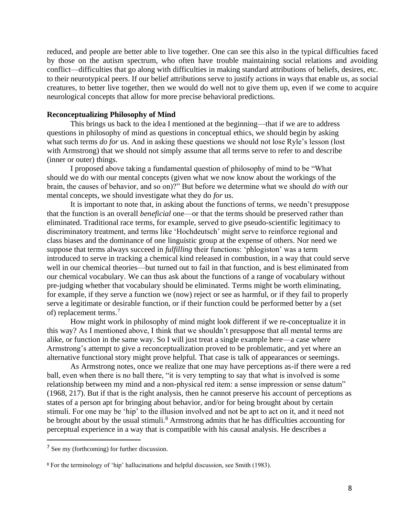reduced, and people are better able to live together. One can see this also in the typical difficulties faced by those on the autism spectrum, who often have trouble maintaining social relations and avoiding conflict—difficulties that go along with difficulties in making standard attributions of beliefs, desires, etc. to their neurotypical peers. If our belief attributions serve to justify actions in ways that enable us, as social creatures, to better live together, then we would do well not to give them up, even if we come to acquire neurological concepts that allow for more precise behavioral predictions.

#### **Reconceptualizing Philosophy of Mind**

This brings us back to the idea I mentioned at the beginning—that if we are to address questions in philosophy of mind as questions in conceptual ethics, we should begin by asking what such terms *do for* us. And in asking these questions we should not lose Ryle's lesson (lost with Armstrong) that we should not simply assume that all terms serve to refer to and describe (inner or outer) things.

I proposed above taking a fundamental question of philosophy of mind to be "What should we do with our mental concepts (given what we now know about the workings of the brain, the causes of behavior, and so on)?" But before we determine what we should *do with* our mental concepts, we should investigate what they do *for* us.

It is important to note that, in asking about the functions of terms, we needn't presuppose that the function is an overall *beneficial* one—or that the terms should be preserved rather than eliminated. Traditional race terms, for example, served to give pseudo-scientific legitimacy to discriminatory treatment, and terms like 'Hochdeutsch' might serve to reinforce regional and class biases and the dominance of one linguistic group at the expense of others. Nor need we suppose that terms always succeed in *fulfilling* their functions: 'phlogiston' was a term introduced to serve in tracking a chemical kind released in combustion, in a way that could serve well in our chemical theories—but turned out to fail in that function, and is best eliminated from our chemical vocabulary. We can thus ask about the functions of a range of vocabulary without pre-judging whether that vocabulary should be eliminated. Terms might be worth eliminating, for example, if they serve a function we (now) reject or see as harmful, or if they fail to properly serve a legitimate or desirable function, or if their function could be performed better by a (set of) replacement terms.<sup>7</sup>

How might work in philosophy of mind might look different if we re-conceptualize it in this way? As I mentioned above, I think that we shouldn't presuppose that all mental terms are alike, or function in the same way. So I will just treat a single example here—a case where Armstrong's attempt to give a reconceptualization proved to be problematic, and yet where an alternative functional story might prove helpful. That case is talk of appearances or seemings.

As Armstrong notes, once we realize that one may have perceptions as-if there were a red ball, even when there is no ball there, "it is very tempting to say that what is involved is some relationship between my mind and a non-physical red item: a sense impression or sense datum" (1968, 217). But if that is the right analysis, then he cannot preserve his account of perceptions as states of a person apt for bringing about behavior, and/or for being brought about by certain stimuli. For one may be 'hip' to the illusion involved and not be apt to act on it, and it need not be brought about by the usual stimuli.<sup>8</sup> Armstrong admits that he has difficulties accounting for perceptual experience in a way that is compatible with his causal analysis. He describes a

<sup>7</sup> See my (forthcoming) for further discussion.

<sup>8</sup> For the terminology of 'hip' hallucinations and helpful discussion, see Smith (1983).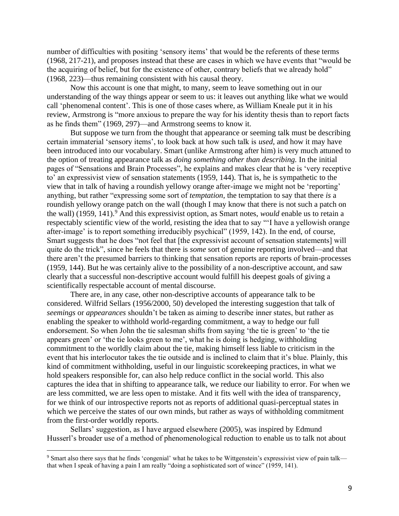number of difficulties with positing 'sensory items' that would be the referents of these terms (1968, 217-21), and proposes instead that these are cases in which we have events that "would be the acquiring of belief, but for the existence of other, contrary beliefs that we already hold" (1968, 223)—thus remaining consistent with his causal theory.

Now this account is one that might, to many, seem to leave something out in our understanding of the way things appear or seem to us: it leaves out anything like what we would call 'phenomenal content'. This is one of those cases where, as William Kneale put it in his review, Armstrong is "more anxious to prepare the way for his identity thesis than to report facts as he finds them" (1969, 297)—and Armstrong seems to know it.

But suppose we turn from the thought that appearance or seeming talk must be describing certain immaterial 'sensory items', to look back at how such talk is *used*, and how it may have been introduced into our vocabulary. Smart (unlike Armstrong after him) is very much attuned to the option of treating appearance talk as *doing something other than describing.* In the initial pages of "Sensations and Brain Processes", he explains and makes clear that he is 'very receptive to' an expressivist view of sensation statements (1959, 144). That is, he is sympathetic to the view that in talk of having a roundish yellowy orange after-image we might not be 'reporting' anything, but rather "expressing some sort of *temptation,* the temptation to say that there *is* a roundish yellowy orange patch on the wall (though I may know that there is not such a patch on the wall) (1959, 141).<sup>9</sup> And this expressivist option, as Smart notes, *would* enable us to retain a respectably scientific view of the world, resisting the idea that to say "'I have a yellowish orange after-image' is to report something irreducibly psychical" (1959, 142). In the end, of course, Smart suggests that he does "not feel that [the expressivist account of sensation statements] will quite do the trick", since he feels that there is *some* sort of genuine reporting involved—and that there aren't the presumed barriers to thinking that sensation reports are reports of brain-processes (1959, 144). But he was certainly alive to the possibility of a non-descriptive account, and saw clearly that a successful non-descriptive account would fulfill his deepest goals of giving a scientifically respectable account of mental discourse.

There are, in any case, other non-descriptive accounts of appearance talk to be considered. Wilfrid Sellars (1956/2000, 50) developed the interesting suggestion that talk of *seemings* or *appearances* shouldn't be taken as aiming to describe inner states, but rather as enabling the speaker to withhold world-regarding commitment, a way to hedge our full endorsement. So when John the tie salesman shifts from saying 'the tie is green' to 'the tie appears green' or 'the tie looks green to me', what he is doing is hedging, withholding commitment to the worldly claim about the tie, making himself less liable to criticism in the event that his interlocutor takes the tie outside and is inclined to claim that it's blue. Plainly, this kind of commitment withholding, useful in our linguistic scorekeeping practices, in what we hold speakers responsible for, can also help reduce conflict in the social world. This also captures the idea that in shifting to appearance talk, we reduce our liability to error. For when we are less committed, we are less open to mistake. And it fits well with the idea of transparency, for we think of our introspective reports not as reports of additional quasi-perceptual states in which we perceive the states of our own minds, but rather as ways of withholding commitment from the first-order worldly reports.

Sellars' suggestion, as I have argued elsewhere (2005), was inspired by Edmund Husserl's broader use of a method of phenomenological reduction to enable us to talk not about

<sup>&</sup>lt;sup>9</sup> Smart also there says that he finds 'congenial' what he takes to be Wittgenstein's expressivist view of pain talk that when I speak of having a pain I am really "doing a sophisticated sort of wince" (1959, 141).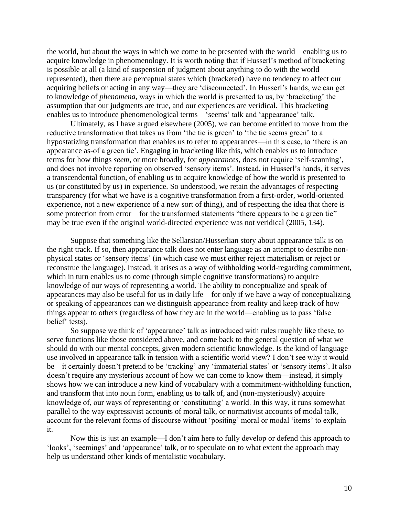the world, but about the ways in which we come to be presented with the world—enabling us to acquire knowledge in phenomenology. It is worth noting that if Husserl's method of bracketing is possible at all (a kind of suspension of judgment about anything to do with the world represented), then there are perceptual states which (bracketed) have no tendency to affect our acquiring beliefs or acting in any way—they are 'disconnected'. In Husserl's hands, we can get to knowledge of *phenomena,* ways in which the world is presented to us, by 'bracketing' the assumption that our judgments are true, and our experiences are veridical. This bracketing enables us to introduce phenomenological terms—'seems' talk and 'appearance' talk.

Ultimately, as I have argued elsewhere (2005), we can become entitled to move from the reductive transformation that takes us from 'the tie is green' to 'the tie seems green' to a hypostatizing transformation that enables us to refer to appearances—in this case, to 'there is an appearance as-of a green tie'. Engaging in bracketing like this, which enables us to introduce terms for how things *seem,* or more broadly, for *appearances,* does not require 'self-scanning', and does not involve reporting on observed 'sensory items'. Instead, in Husserl's hands, it serves a transcendental function, of enabling us to acquire knowledge of how the world is presented to us (or constituted by us) in experience. So understood, we retain the advantages of respecting transparency (for what we have is a cognitive transformation from a first-order, world-oriented experience, not a new experience of a new sort of thing), and of respecting the idea that there is some protection from error—for the transformed statements "there appears to be a green tie" may be true even if the original world-directed experience was not veridical (2005, 134).

Suppose that something like the Sellarsian/Husserlian story about appearance talk is on the right track. If so, then appearance talk does not enter language as an attempt to describe nonphysical states or 'sensory items' (in which case we must either reject materialism or reject or reconstrue the language). Instead, it arises as a way of withholding world-regarding commitment, which in turn enables us to come (through simple cognitive transformations) to acquire knowledge of our ways of representing a world. The ability to conceptualize and speak of appearances may also be useful for us in daily life—for only if we have a way of conceptualizing or speaking of appearances can we distinguish appearance from reality and keep track of how things appear to others (regardless of how they are in the world—enabling us to pass 'false belief' tests).

So suppose we think of 'appearance' talk as introduced with rules roughly like these, to serve functions like those considered above, and come back to the general question of what we should do with our mental concepts, given modern scientific knowledge. Is the kind of language use involved in appearance talk in tension with a scientific world view? I don't see why it would be—it certainly doesn't pretend to be 'tracking' any 'immaterial states' or 'sensory items'. It also doesn't require any mysterious account of how we can come to know them—instead, it simply shows how we can introduce a new kind of vocabulary with a commitment-withholding function, and transform that into noun form, enabling us to talk of, and (non-mysteriously) acquire knowledge of, our ways of representing or 'constituting' a world. In this way, it runs somewhat parallel to the way expressivist accounts of moral talk, or normativist accounts of modal talk, account for the relevant forms of discourse without 'positing' moral or modal 'items' to explain it.

Now this is just an example—I don't aim here to fully develop or defend this approach to 'looks', 'seemings' and 'appearance' talk, or to speculate on to what extent the approach may help us understand other kinds of mentalistic vocabulary.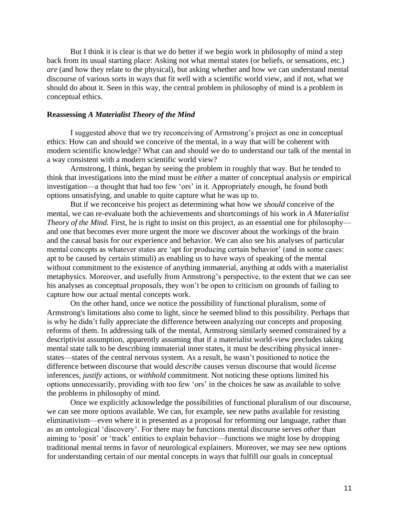But I think it is clear is that we do better if we begin work in philosophy of mind a step back from its usual starting place: Asking not what mental states (or beliefs, or sensations, etc.) *are* (and how they relate to the physical)*,* but asking whether and how we can understand mental discourse of various sorts in ways that fit well with a scientific world view, and if not, what we should do about it. Seen in this way, the central problem in philosophy of mind is a problem in conceptual ethics.

## **Reassessing** *A Materialist Theory of the Mind*

I suggested above that we try reconceiving of Armstrong's project as one in conceptual ethics: How can and should we conceive of the mental, in a way that will be coherent with modern scientific knowledge? What can and should we do to understand our talk of the mental in a way consistent with a modern scientific world view?

Armstrong, I think, began by seeing the problem in roughly that way. But he tended to think that investigations into the mind must be *either* a matter of conceptual analysis *or* empirical investigation—a thought that had too few 'ors' in it. Appropriately enough, he found both options unsatisfying, and unable to quite capture what he was up to.

But if we reconceive his project as determining what how we *should* conceive of the mental, we can re-evaluate both the achievements and shortcomings of his work in *A Materialist Theory of the Mind.* First, he is right to insist on this project, as an essential one for philosophy and one that becomes ever more urgent the more we discover about the workings of the brain and the causal basis for our experience and behavior. We can also see his analyses of particular mental concepts as whatever states are 'apt for producing certain behavior' (and in some cases: apt to be caused by certain stimuli) as enabling us to have ways of speaking of the mental without commitment to the existence of anything immaterial, anything at odds with a materialist metaphysics. Moreover, and usefully from Armstrong's perspective, to the extent that we can see his analyses as conceptual *proposals,* they won't be open to criticism on grounds of failing to capture how our actual mental concepts work.

On the other hand, once we notice the possibility of functional pluralism, some of Armstrong's limitations also come to light, since he seemed blind to this possibility. Perhaps that is why he didn't fully appreciate the difference between analyzing our concepts and proposing reforms of them. In addressing talk of the mental, Armstrong similarly seemed constrained by a descriptivist assumption, apparently assuming that if a materialist world-view precludes taking mental state talk to be describing immaterial inner states, it must be describing physical innerstates—states of the central nervous system. As a result, he wasn't positioned to notice the difference between discourse that would *describe* causes versus discourse that would *license* inferences, *justify* actions, or *withhold* commitment. Not noticing these options limited his options unnecessarily, providing with too few 'ors' in the choices he saw as available to solve the problems in philosophy of mind.

Once we explicitly acknowledge the possibilities of functional pluralism of our discourse, we can see more options available. We can, for example, see new paths available for resisting eliminativism—even where it is presented as a proposal for reforming our language, rather than as an ontological 'discovery'. For there may be functions mental discourse serves *other* than aiming to 'posit' or 'track' entities to explain behavior—functions we might lose by dropping traditional mental terms in favor of neurological explainers. Moreover, we may see new options for understanding certain of our mental concepts in ways that fulfill our goals in conceptual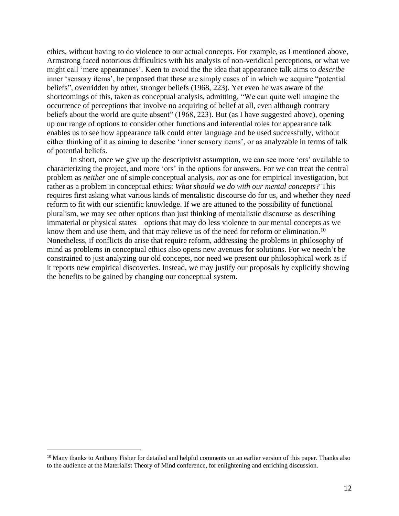ethics, without having to do violence to our actual concepts. For example, as I mentioned above, Armstrong faced notorious difficulties with his analysis of non-veridical perceptions, or what we might call 'mere appearances'. Keen to avoid the the idea that appearance talk aims to *describe* inner 'sensory items', he proposed that these are simply cases of in which we acquire "potential beliefs", overridden by other, stronger beliefs (1968, 223). Yet even he was aware of the shortcomings of this, taken as conceptual analysis, admitting, "We can quite well imagine the occurrence of perceptions that involve no acquiring of belief at all, even although contrary beliefs about the world are quite absent" (1968, 223). But (as I have suggested above), opening up our range of options to consider other functions and inferential roles for appearance talk enables us to see how appearance talk could enter language and be used successfully, without either thinking of it as aiming to describe 'inner sensory items', or as analyzable in terms of talk of potential beliefs.

In short, once we give up the descriptivist assumption, we can see more 'ors' available to characterizing the project, and more 'ors' in the options for answers. For we can treat the central problem as *neither* one of simple conceptual analysis, *nor* as one for empirical investigation, but rather as a problem in conceptual ethics: *What should we do with our mental concepts?* This requires first asking what various kinds of mentalistic discourse do for us, and whether they *need* reform to fit with our scientific knowledge. If we are attuned to the possibility of functional pluralism, we may see other options than just thinking of mentalistic discourse as describing immaterial or physical states—options that may do less violence to our mental concepts as we know them and use them, and that may relieve us of the need for reform or elimination.<sup>10</sup> Nonetheless, if conflicts do arise that require reform, addressing the problems in philosophy of mind as problems in conceptual ethics also opens new avenues for solutions. For we needn't be constrained to just analyzing our old concepts, nor need we present our philosophical work as if it reports new empirical discoveries. Instead, we may justify our proposals by explicitly showing the benefits to be gained by changing our conceptual system.

<sup>10</sup> Many thanks to Anthony Fisher for detailed and helpful comments on an earlier version of this paper. Thanks also to the audience at the Materialist Theory of Mind conference, for enlightening and enriching discussion.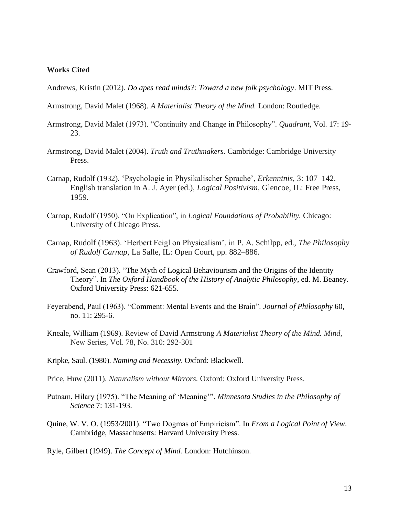# **Works Cited**

Andrews, Kristin (2012). *Do apes read minds?: Toward a new folk psychology*. MIT Press.

- Armstrong, David Malet (1968). *A Materialist Theory of the Mind.* London: Routledge.
- Armstrong, David Malet (1973). "Continuity and Change in Philosophy". *Quadrant,* Vol. 17: 19- 23.
- Armstrong, David Malet (2004). *Truth and Truthmakers.* Cambridge: Cambridge University Press.
- Carnap, Rudolf (1932). 'Psychologie in Physikalischer Sprache', *Erkenntnis*, 3: 107–142. English translation in A. J. Ayer (ed.), *Logical Positivism*, Glencoe, IL: Free Press, 1959.
- Carnap, Rudolf (1950). "On Explication", in *Logical Foundations of Probability.* Chicago: University of Chicago Press.
- Carnap, Rudolf (1963). 'Herbert Feigl on Physicalism', in P. A. Schilpp, ed., *The Philosophy of Rudolf Carnap*, La Salle, IL: Open Court, pp. 882–886.
- Crawford, Sean (2013). "The Myth of Logical Behaviourism and the Origins of the Identity Theory". In *The Oxford Handbook of the History of Analytic Philosophy*, ed. M. Beaney. Oxford University Press: 621-655.
- Feyerabend, Paul (1963). "Comment: Mental Events and the Brain". *Journal of Philosophy* 60, no. 11: 295-6.
- Kneale, William (1969). Review of David Armstrong *A Materialist Theory of the Mind. Mind*, New Series, Vol. 78, No. 310: 292-301
- Kripke, Saul. (1980). *Naming and Necessity*. Oxford: Blackwell.
- Price, Huw (2011). *Naturalism without Mirrors.* Oxford: Oxford University Press.
- Putnam, Hilary (1975). "The Meaning of 'Meaning'". *Minnesota Studies in the Philosophy of Science* 7: 131-193.
- Quine, W. V. O. (1953/2001). "Two Dogmas of Empiricism". In *From a Logical Point of View*. Cambridge, Massachusetts: Harvard University Press.

Ryle, Gilbert (1949). *The Concept of Mind.* London: Hutchinson.